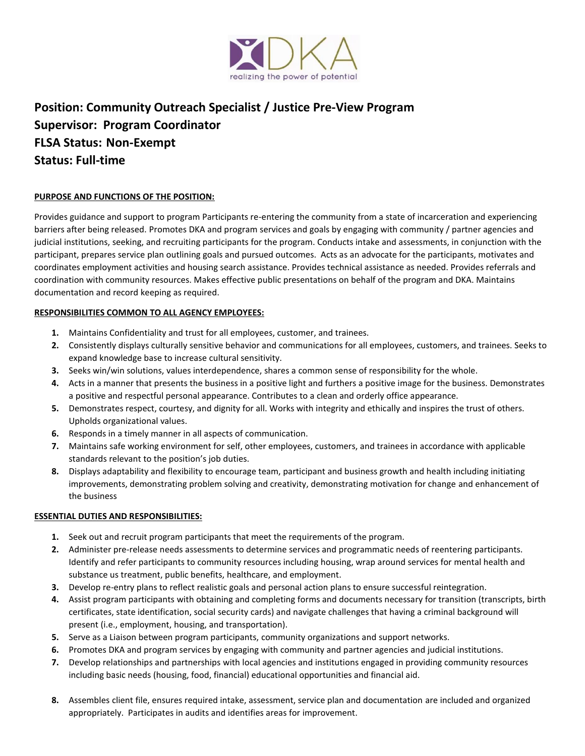

# **Position: Community Outreach Specialist / Justice Pre-View Program Supervisor: Program Coordinator FLSA Status: Non-Exempt Status: Full-time**

# **PURPOSE AND FUNCTIONS OF THE POSITION:**

Provides guidance and support to program Participants re-entering the community from a state of incarceration and experiencing barriers after being released. Promotes DKA and program services and goals by engaging with community / partner agencies and judicial institutions, seeking, and recruiting participants for the program. Conducts intake and assessments, in conjunction with the participant, prepares service plan outlining goals and pursued outcomes. Acts as an advocate for the participants, motivates and coordinates employment activities and housing search assistance. Provides technical assistance as needed. Provides referrals and coordination with community resources. Makes effective public presentations on behalf of the program and DKA. Maintains documentation and record keeping as required.

#### **RESPONSIBILITIES COMMON TO ALL AGENCY EMPLOYEES:**

- **1.** Maintains Confidentiality and trust for all employees, customer, and trainees.
- **2.** Consistently displays culturally sensitive behavior and communications for all employees, customers, and trainees. Seeks to expand knowledge base to increase cultural sensitivity.
- **3.** Seeks win/win solutions, values interdependence, shares a common sense of responsibility for the whole.
- **4.** Acts in a manner that presents the business in a positive light and furthers a positive image for the business. Demonstrates a positive and respectful personal appearance. Contributes to a clean and orderly office appearance.
- **5.** Demonstrates respect, courtesy, and dignity for all. Works with integrity and ethically and inspires the trust of others. Upholds organizational values.
- **6.** Responds in a timely manner in all aspects of communication.
- **7.** Maintains safe working environment for self, other employees, customers, and trainees in accordance with applicable standards relevant to the position's job duties.
- **8.** Displays adaptability and flexibility to encourage team, participant and business growth and health including initiating improvements, demonstrating problem solving and creativity, demonstrating motivation for change and enhancement of the business

#### **ESSENTIAL DUTIES AND RESPONSIBILITIES:**

- **1.** Seek out and recruit program participants that meet the requirements of the program.
- **2.** Administer pre-release needs assessments to determine services and programmatic needs of reentering participants. Identify and refer participants to community resources including housing, wrap around services for mental health and substance us treatment, public benefits, healthcare, and employment.
- **3.** Develop re-entry plans to reflect realistic goals and personal action plans to ensure successful reintegration.
- **4.** Assist program participants with obtaining and completing forms and documents necessary for transition (transcripts, birth certificates, state identification, social security cards) and navigate challenges that having a criminal background will present (i.e., employment, housing, and transportation).
- **5.** Serve as a Liaison between program participants, community organizations and support networks.
- **6.** Promotes DKA and program services by engaging with community and partner agencies and judicial institutions.
- **7.** Develop relationships and partnerships with local agencies and institutions engaged in providing community resources including basic needs (housing, food, financial) educational opportunities and financial aid.
- **8.** Assembles client file, ensures required intake, assessment, service plan and documentation are included and organized appropriately. Participates in audits and identifies areas for improvement.